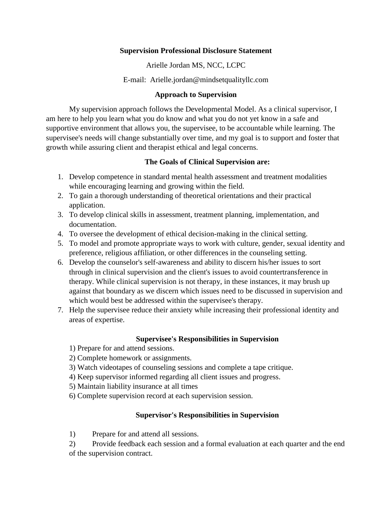## **Supervision Professional Disclosure Statement**

Arielle Jordan MS, NCC, LCPC

E-mail: Arielle.jordan@mindsetqualityllc.com

# **Approach to Supervision**

My supervision approach follows the Developmental Model. As a clinical supervisor, I am here to help you learn what you do know and what you do not yet know in a safe and supportive environment that allows you, the supervisee, to be accountable while learning. The supervisee's needs will change substantially over time, and my goal is to support and foster that growth while assuring client and therapist ethical and legal concerns.

# **The Goals of Clinical Supervision are:**

- 1. Develop competence in standard mental health assessment and treatment modalities while encouraging learning and growing within the field.
- 2. To gain a thorough understanding of theoretical orientations and their practical application.
- 3. To develop clinical skills in assessment, treatment planning, implementation, and documentation.
- 4. To oversee the development of ethical decision-making in the clinical setting.
- 5. To model and promote appropriate ways to work with culture, gender, sexual identity and preference, religious affiliation, or other differences in the counseling setting.
- 6. Develop the counselor's self-awareness and ability to discern his/her issues to sort through in clinical supervision and the client's issues to avoid countertransference in therapy. While clinical supervision is not therapy, in these instances, it may brush up against that boundary as we discern which issues need to be discussed in supervision and which would best be addressed within the supervisee's therapy.
- 7. Help the supervisee reduce their anxiety while increasing their professional identity and areas of expertise.

# **Supervisee's Responsibilities in Supervision**

- 1) Prepare for and attend sessions.
- 2) Complete homework or assignments.
- 3) Watch videotapes of counseling sessions and complete a tape critique.
- 4) Keep supervisor informed regarding all client issues and progress.
- 5) Maintain liability insurance at all times
- 6) Complete supervision record at each supervision session.

# **Supervisor's Responsibilities in Supervision**

1) Prepare for and attend all sessions.

2) Provide feedback each session and a formal evaluation at each quarter and the end of the supervision contract.